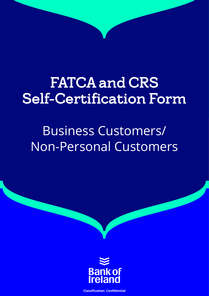# FATCA and CRS Self-Certification Form

# Business Customers/ Non-Personal Customers



**Classification: Confidential**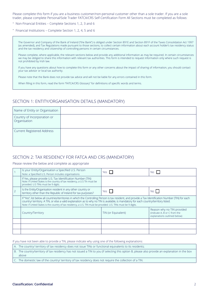Please complete this form if you are a business customer/non-personal customer other than a sole trader. If you are a sole trader, please complete Personal/Sole Trader FATCA/CRS Self-Certification Form All Sections must be completed as follows:

- Non-Financial Entities Complete Sections 1, 2, 3 and 6
- Financial Institutions Complete Section 1, 2, 4, 5 and 6

The Governor and Company of the Bank of Ireland ("the Bank") is obliged under Section 891E and Section 891F of the Taxes Consolidation Act 1997 (as amended), and Tax Regulations made pursuant to those sections, to collect certain information about each account holder's tax residency status and the tax residency and citizenship of controlling persons in certain circumstances.

Please complete, where applicable, the relevant sections below and provide any additional information as may be required. In certain circumstances we may be obliged to share this information with relevant tax authorities. This form is intended to request information only where such request is not prohibited by Irish law.

If you have any questions about how to complete this form or any other concerns about the impact of sharing of information, you should contact your tax advisor or local tax authority.

Please note that the Bank does not provide tax advice and will not be liable for any errors contained in this form.

When filling in this form, read the form "FATCA/CRS Glossary" for definitions of specific words and terms.

#### SECTION 1: ENTITY/ORGANISATION DETAILS (MANDATORY)

| Name of Entity or Organisation              |  |
|---------------------------------------------|--|
| Country of Incorporation or<br>Organisation |  |
| Current Registered Address                  |  |

## SECTION 2: TAX RESIDENCY FOR FATCA AND CRS (MANDATORY)

#### Please review the below and complete as appropriate

| Is your Entity/Organisation a Specified U.S. Person<br>Note: a Specified U.S. Person includes organisations                                                                                                                                                                                                                                                                                                         | Yes I               | No.                                                                                        |
|---------------------------------------------------------------------------------------------------------------------------------------------------------------------------------------------------------------------------------------------------------------------------------------------------------------------------------------------------------------------------------------------------------------------|---------------------|--------------------------------------------------------------------------------------------|
| If Yes, please provide U.S. Tax Identification Number (TIN)<br>Note: If United States is the country of tax residency, a U.S Tin must be<br>provided. U.S TINs must be 9 digits.                                                                                                                                                                                                                                    |                     |                                                                                            |
| Is the Entity/Organisation resident in any other country or<br>territory other than the Republic of Ireland for tax purposes?                                                                                                                                                                                                                                                                                       | Yes $\Box$          | No                                                                                         |
| If "Yes", list below all countries/territories in which the Controlling Person is tax resident, and provide a Tax Identification Number (TIN) for each<br>country/ territory. A TIN, or else a valid explanation as to why no TIN is available, is mandatory for each country/territory listed.<br>Note: if United States is the country of tax residency, a U.S. TIN must be provided. U.S. TINs must be 9 digits. |                     |                                                                                            |
| Country/Territory                                                                                                                                                                                                                                                                                                                                                                                                   | TIN (or Equivalent) | Reason why no TIN provided<br>(indicate A, B or C from the<br>explanations outlined below) |
|                                                                                                                                                                                                                                                                                                                                                                                                                     |                     |                                                                                            |
|                                                                                                                                                                                                                                                                                                                                                                                                                     |                     |                                                                                            |
|                                                                                                                                                                                                                                                                                                                                                                                                                     |                     |                                                                                            |

If you have not been able to provide a TIN, please indicate why using one of the following explanations:

A. The country/ territory of tax residency does not issue TINs or functional equivalents to its residents;

B. The country/territory of tax residency has not issued a TIN to you (if selecting this option B, please also provide an explanation in the box above

C. The domestic law of the country/ territory of tax residency does not require the collection of a TIN.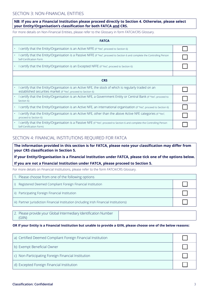## SECTION 3: NON-FINANCIAL ENTITIES

### **NB: If you are a Financial Institution please proceed directly to Section 4. Otherwise, please select your Entity/Organisation's classification for both FATCA and CRS.**

For more details on Non-Financial Entities, please refer to the Glossary in form FATCA/CRS Glossary.

| <b>FATCA</b>                                                                                                                                                            |  |
|-------------------------------------------------------------------------------------------------------------------------------------------------------------------------|--|
| l certify that the Entity/Organisation is an Active NFFE (if "Yes", proceed to Section 6)                                                                               |  |
| l certify that the Entity/Organisation is a Passive NFFE (if "Yes", proceed to Section 6 and complete the Controlling Person<br>Self-Certification Form                 |  |
| Certify that the Entity/Organisation is an Excepted NFFE (if "Yes", proceed to Section 6)                                                                               |  |
|                                                                                                                                                                         |  |
| <b>CRS</b>                                                                                                                                                              |  |
| I certify that the Entity/Organisation is an Active NFE, the stock of which is regularly traded on an<br>established securities market (if "Yes", proceed to Section 6) |  |
| I certify that the Entity/Organisation is an Active NFE, a Government Entity or Central Bank (if "Yes", proceed to<br>Section 6)                                        |  |
| certify that the Entity/Organisation is an Active NFE, an international organisation (if "Yes", proceed to Section 6)                                                   |  |
| I certify that the Entity/Organisation is an Active NFE, other than the above Active NFE categories (if "Yes",<br>proceed to Section 6)                                 |  |
| I certify that the Entity/Organisation is a Passive NFE (if "Yes", proceed to Section 6 and complete the Controlling Person<br>Self-Certification Form)                 |  |

## SECTION 4: FINANCIAL INSTITUTIONS REQUIRED FOR FATCA

**The information provided in this section is for FATCA, please note your classification may differ from your CRS classification in Section 5.**

**If your Entity/Organisation is a Financial Institution under FATCA, please tick one of the options below.**

#### **If you are not a Financial Institution under FATCA, please proceed to Section 5.**

For more details on Financial Institutions, please refer to the form FATCA/CRS Glossary.

| 1. Please choose from one of the following options                                       |  |
|------------------------------------------------------------------------------------------|--|
| Registered Deemed Compliant Foreign Financial Institution<br>i)                          |  |
| ii) Participating Foreign Financial Institution                                          |  |
| iii) Partner Jurisdiction Financial Institution (including Irish Financial Institutions) |  |

2. Please provide your Global Intermediary Identification Number (GIIN)

### **OR If your Entity is a Financial Institution but unable to provide a GIIN, please choose one of the below reasons:**

| a) Certified Deemed Compliant Foreign Financial Institution |  |
|-------------------------------------------------------------|--|
| b) Exempt Beneficial Owner                                  |  |
| c) Non-Participating Foreign Financial Institution          |  |
| d) Excepted Foreign Financial Institution                   |  |